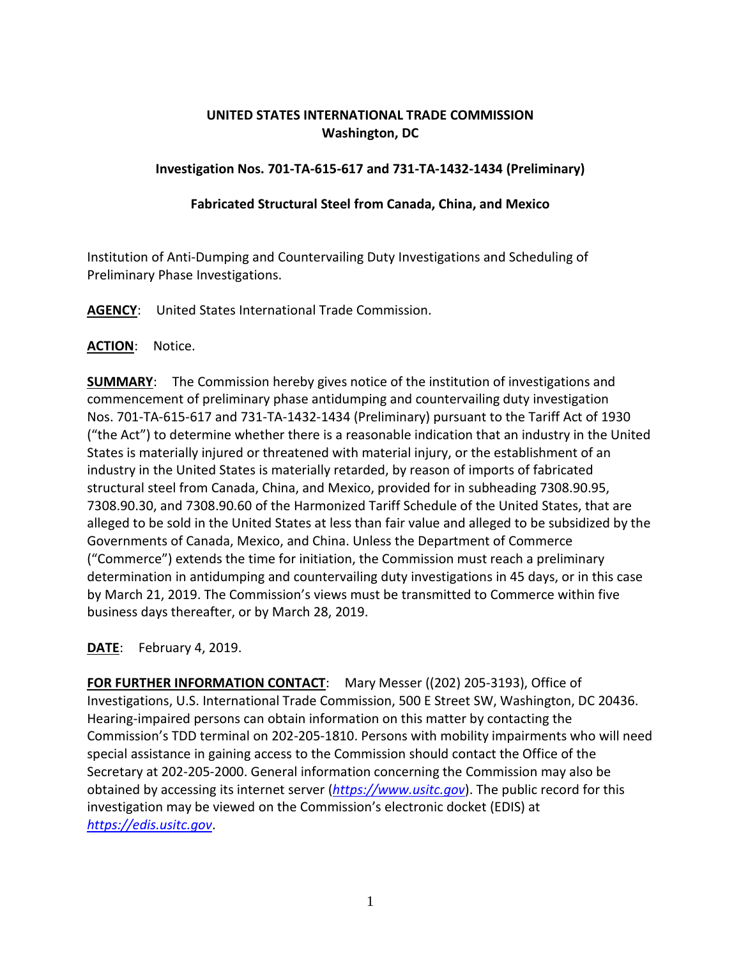# **UNITED STATES INTERNATIONAL TRADE COMMISSION Washington, DC**

### **Investigation Nos. 701-TA-615-617 and 731-TA-1432-1434 (Preliminary)**

#### **Fabricated Structural Steel from Canada, China, and Mexico**

Institution of Anti-Dumping and Countervailing Duty Investigations and Scheduling of Preliminary Phase Investigations.

**AGENCY**: United States International Trade Commission.

## **ACTION**: Notice.

**SUMMARY**: The Commission hereby gives notice of the institution of investigations and commencement of preliminary phase antidumping and countervailing duty investigation Nos. 701-TA-615-617 and 731-TA-1432-1434 (Preliminary) pursuant to the Tariff Act of 1930 ("the Act") to determine whether there is a reasonable indication that an industry in the United States is materially injured or threatened with material injury, or the establishment of an industry in the United States is materially retarded, by reason of imports of fabricated structural steel from Canada, China, and Mexico, provided for in subheading 7308.90.95, 7308.90.30, and 7308.90.60 of the Harmonized Tariff Schedule of the United States, that are alleged to be sold in the United States at less than fair value and alleged to be subsidized by the Governments of Canada, Mexico, and China. Unless the Department of Commerce ("Commerce") extends the time for initiation, the Commission must reach a preliminary determination in antidumping and countervailing duty investigations in 45 days, or in this case by March 21, 2019. The Commission's views must be transmitted to Commerce within five business days thereafter, or by March 28, 2019.

**DATE**: February 4, 2019.

**FOR FURTHER INFORMATION CONTACT**: Mary Messer ((202) 205-3193), Office of Investigations, U.S. International Trade Commission, 500 E Street SW, Washington, DC 20436. Hearing-impaired persons can obtain information on this matter by contacting the Commission's TDD terminal on 202-205-1810. Persons with mobility impairments who will need special assistance in gaining access to the Commission should contact the Office of the Secretary at 202-205-2000. General information concerning the Commission may also be obtained by accessing its internet server (*[https://www.usitc.gov](https://www.usitc.gov/)*). The public record for this investigation may be viewed on the Commission's electronic docket (EDIS) at *[https://edis.usitc.gov](https://edis.usitc.gov/)*.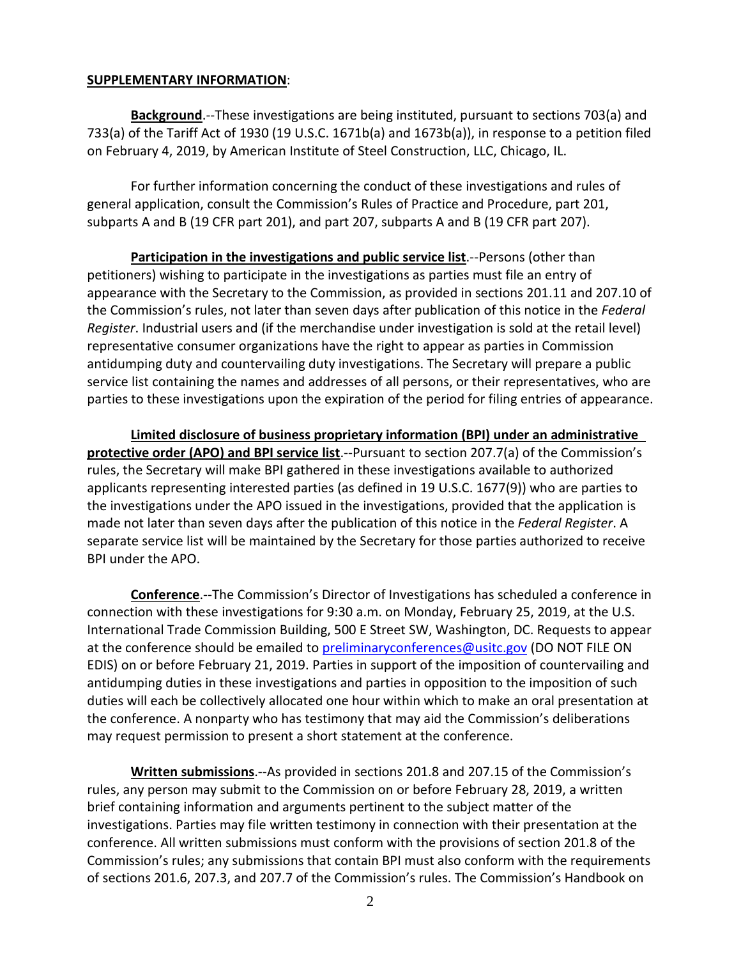#### **SUPPLEMENTARY INFORMATION**:

**Background**.--These investigations are being instituted, pursuant to sections 703(a) and 733(a) of the Tariff Act of 1930 (19 U.S.C. 1671b(a) and 1673b(a)), in response to a petition filed on February 4, 2019, by American Institute of Steel Construction, LLC, Chicago, IL.

For further information concerning the conduct of these investigations and rules of general application, consult the Commission's Rules of Practice and Procedure, part 201, subparts A and B (19 CFR part 201), and part 207, subparts A and B (19 CFR part 207).

**Participation in the investigations and public service list**.--Persons (other than petitioners) wishing to participate in the investigations as parties must file an entry of appearance with the Secretary to the Commission, as provided in sections 201.11 and 207.10 of the Commission's rules, not later than seven days after publication of this notice in the *Federal Register*. Industrial users and (if the merchandise under investigation is sold at the retail level) representative consumer organizations have the right to appear as parties in Commission antidumping duty and countervailing duty investigations. The Secretary will prepare a public service list containing the names and addresses of all persons, or their representatives, who are parties to these investigations upon the expiration of the period for filing entries of appearance.

**Limited disclosure of business proprietary information (BPI) under an administrative protective order (APO) and BPI service list**.--Pursuant to section 207.7(a) of the Commission's rules, the Secretary will make BPI gathered in these investigations available to authorized applicants representing interested parties (as defined in 19 U.S.C. 1677(9)) who are parties to the investigations under the APO issued in the investigations, provided that the application is made not later than seven days after the publication of this notice in the *Federal Register*. A separate service list will be maintained by the Secretary for those parties authorized to receive BPI under the APO.

**Conference**.--The Commission's Director of Investigations has scheduled a conference in connection with these investigations for 9:30 a.m. on Monday, February 25, 2019, at the U.S. International Trade Commission Building, 500 E Street SW, Washington, DC. Requests to appear at the conference should be emailed to [preliminaryconferences@usitc.gov](mailto:preliminaryconferences@usitc.gov) (DO NOT FILE ON EDIS) on or before February 21, 2019. Parties in support of the imposition of countervailing and antidumping duties in these investigations and parties in opposition to the imposition of such duties will each be collectively allocated one hour within which to make an oral presentation at the conference. A nonparty who has testimony that may aid the Commission's deliberations may request permission to present a short statement at the conference.

**Written submissions**.--As provided in sections 201.8 and 207.15 of the Commission's rules, any person may submit to the Commission on or before February 28, 2019, a written brief containing information and arguments pertinent to the subject matter of the investigations. Parties may file written testimony in connection with their presentation at the conference. All written submissions must conform with the provisions of section 201.8 of the Commission's rules; any submissions that contain BPI must also conform with the requirements of sections 201.6, 207.3, and 207.7 of the Commission's rules. The Commission's Handbook on